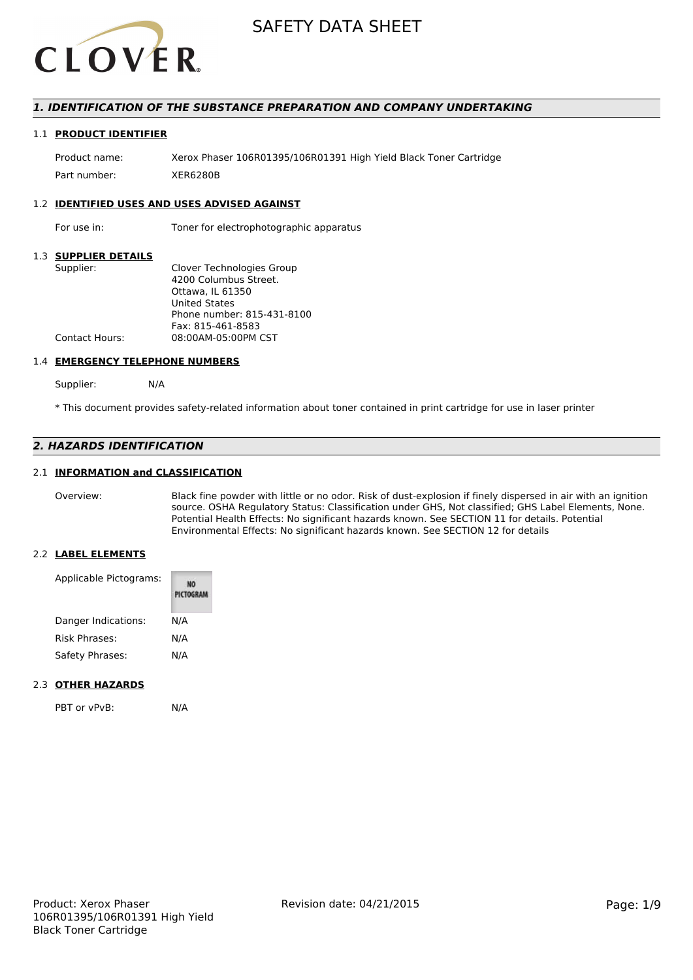

# *1. IDENTIFICATION OF THE SUBSTANCE PREPARATION AND COMPANY UNDERTAKING*

#### 1.1 **PRODUCT IDENTIFIER**

Product name: Xerox Phaser 106R01395/106R01391 High Yield Black Toner Cartridge Part number: XER6280B

#### 1.2 **IDENTIFIED USES AND USES ADVISED AGAINST**

For use in: Toner for electrophotographic apparatus

# 1.3 **SUPPLIER DETAILS**

| Supplier:             | Clover Technologies Group  |
|-----------------------|----------------------------|
|                       | 4200 Columbus Street.      |
|                       | Ottawa. IL 61350           |
|                       | <b>United States</b>       |
|                       | Phone number: 815-431-8100 |
|                       | Fax: 815-461-8583          |
| <b>Contact Hours:</b> | 08:00AM-05:00PM CST        |
|                       |                            |

#### 1.4 **EMERGENCY TELEPHONE NUMBERS**

Supplier: N/A

\* This document provides safety-related information about toner contained in print cartridge for use in laser printer

# *2. HAZARDS IDENTIFICATION*

# 2.1 **INFORMATION and CLASSIFICATION**

Overview: Black fine powder with little or no odor. Risk of dust-explosion if finely dispersed in air with an ignition source. OSHA Regulatory Status: Classification under GHS, Not classified; GHS Label Elements, None. Potential Health Effects: No significant hazards known. See SECTION 11 for details. Potential Environmental Effects: No significant hazards known. See SECTION 12 for details

## 2.2 **LABEL ELEMENTS**

| Applicable Pictograms: | PICTOGRAM |
|------------------------|-----------|
| Danger Indications:    | N/A       |
| <b>Risk Phrases:</b>   | N/A       |
| Safety Phrases:        | N/A       |

### 2.3 **OTHER HAZARDS**

PBT or vPvB: N/A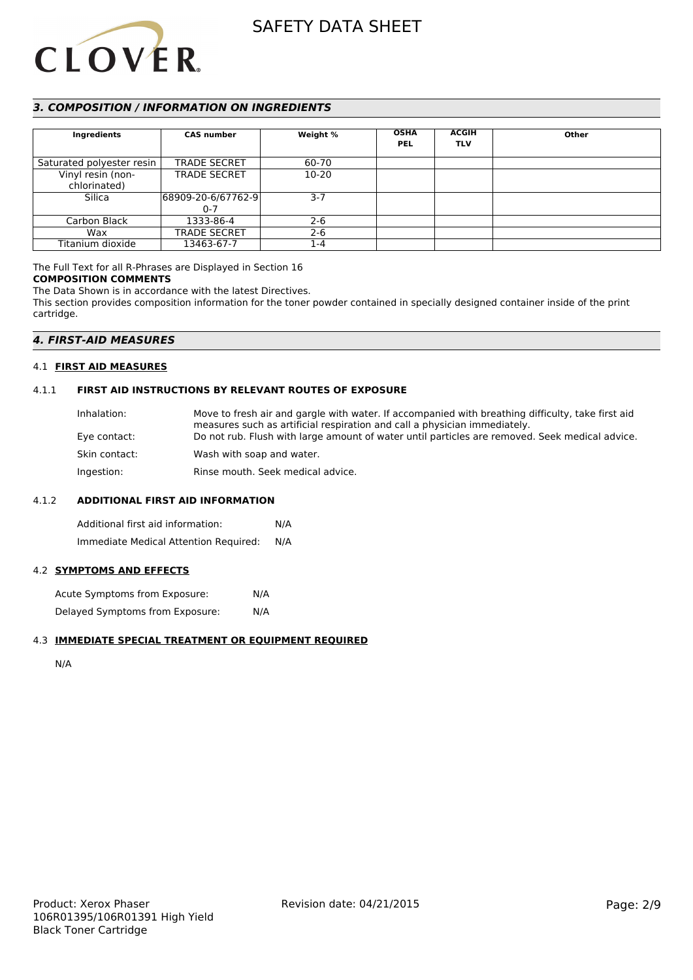

# *3. COMPOSITION / INFORMATION ON INGREDIENTS*

| Ingredients               | <b>CAS number</b>   | Weight %  | <b>OSHA</b> | <b>ACGIH</b> | Other |
|---------------------------|---------------------|-----------|-------------|--------------|-------|
|                           |                     |           | <b>PEL</b>  | <b>TLV</b>   |       |
|                           |                     |           |             |              |       |
| Saturated polyester resin | <b>TRADE SECRET</b> | 60-70     |             |              |       |
| Vinyl resin (non-         | <b>TRADE SECRET</b> | $10 - 20$ |             |              |       |
| chlorinated)              |                     |           |             |              |       |
| Silica                    | 68909-20-6/67762-9  | $3 - 7$   |             |              |       |
|                           | $0 - 7$             |           |             |              |       |
| Carbon Black              | 1333-86-4           | $2 - 6$   |             |              |       |
| Wax                       | <b>TRADE SECRET</b> | $2 - 6$   |             |              |       |
| Titanium dioxide          | 13463-67-7          | 1-4       |             |              |       |

# The Full Text for all R-Phrases are Displayed in Section 16

# **COMPOSITION COMMENTS**

The Data Shown is in accordance with the latest Directives.

This section provides composition information for the toner powder contained in specially designed container inside of the print cartridge.

# *4. FIRST-AID MEASURES*

# 4.1 **FIRST AID MEASURES**

# 4.1.1 **FIRST AID INSTRUCTIONS BY RELEVANT ROUTES OF EXPOSURE**

| Inhalation:   | Move to fresh air and gargle with water. If accompanied with breathing difficulty, take first aid<br>measures such as artificial respiration and call a physician immediately. |
|---------------|--------------------------------------------------------------------------------------------------------------------------------------------------------------------------------|
| Eye contact:  | Do not rub. Flush with large amount of water until particles are removed. Seek medical advice.                                                                                 |
| Skin contact: | Wash with soap and water.                                                                                                                                                      |
| Ingestion:    | Rinse mouth. Seek medical advice.                                                                                                                                              |

#### 4.1.2 **ADDITIONAL FIRST AID INFORMATION**

Additional first aid information: N/A Immediate Medical Attention Required: N/A

#### 4.2 **SYMPTOMS AND EFFECTS**

Acute Symptoms from Exposure: N/A Delayed Symptoms from Exposure: N/A

### 4.3 **IMMEDIATE SPECIAL TREATMENT OR EQUIPMENT REQUIRED**

N/A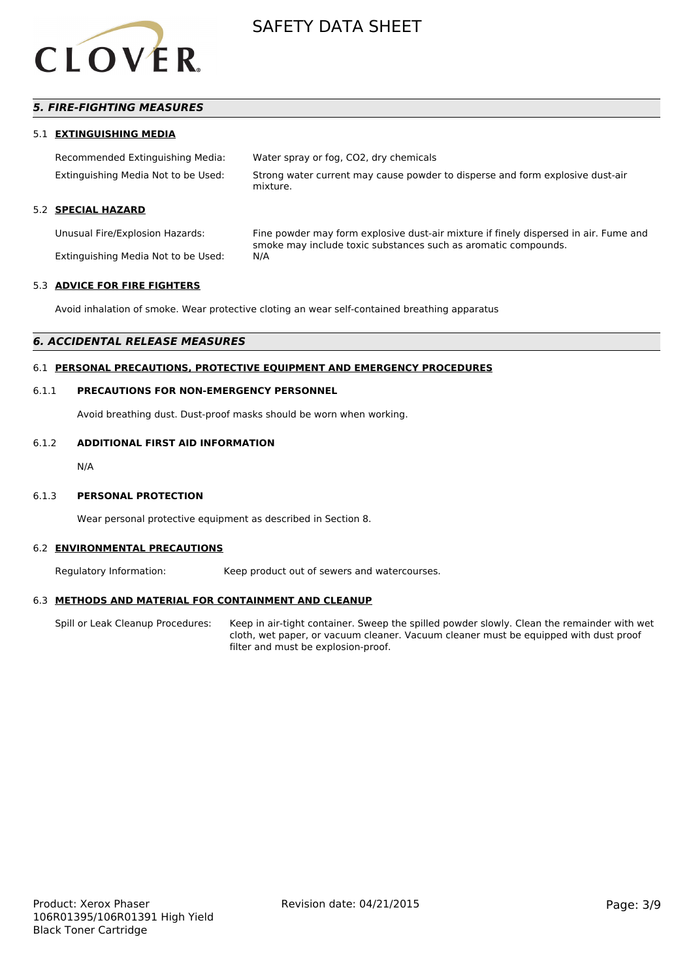

# *5. FIRE-FIGHTING MEASURES*

#### 5.1 **EXTINGUISHING MEDIA**

| Recommended Extinguishing Media:    | Water spray or fog, CO2, dry chemicals                                                    |
|-------------------------------------|-------------------------------------------------------------------------------------------|
| Extinguishing Media Not to be Used: | Strong water current may cause powder to disperse and form explosive dust-air<br>mixture. |

# 5.2 **SPECIAL HAZARD**

Unusual Fire/Explosion Hazards: Fine powder may form explosive dust-air mixture if finely dispersed in air. Fume and smoke may include toxic substances such as aromatic compounds. Extinguishing Media Not to be Used: N/A

# 5.3 **ADVICE FOR FIRE FIGHTERS**

Avoid inhalation of smoke. Wear protective cloting an wear self-contained breathing apparatus

# *6. ACCIDENTAL RELEASE MEASURES*

# 6.1 **PERSONAL PRECAUTIONS, PROTECTIVE EQUIPMENT AND EMERGENCY PROCEDURES**

#### 6.1.1 **PRECAUTIONS FOR NON-EMERGENCY PERSONNEL**

Avoid breathing dust. Dust-proof masks should be worn when working.

### 6.1.2 **ADDITIONAL FIRST AID INFORMATION**

N/A

#### 6.1.3 **PERSONAL PROTECTION**

Wear personal protective equipment as described in Section 8.

#### 6.2 **ENVIRONMENTAL PRECAUTIONS**

Regulatory Information: Keep product out of sewers and watercourses.

#### 6.3 **METHODS AND MATERIAL FOR CONTAINMENT AND CLEANUP**

Spill or Leak Cleanup Procedures: Keep in air-tight container. Sweep the spilled powder slowly. Clean the remainder with wet cloth, wet paper, or vacuum cleaner. Vacuum cleaner must be equipped with dust proof filter and must be explosion-proof.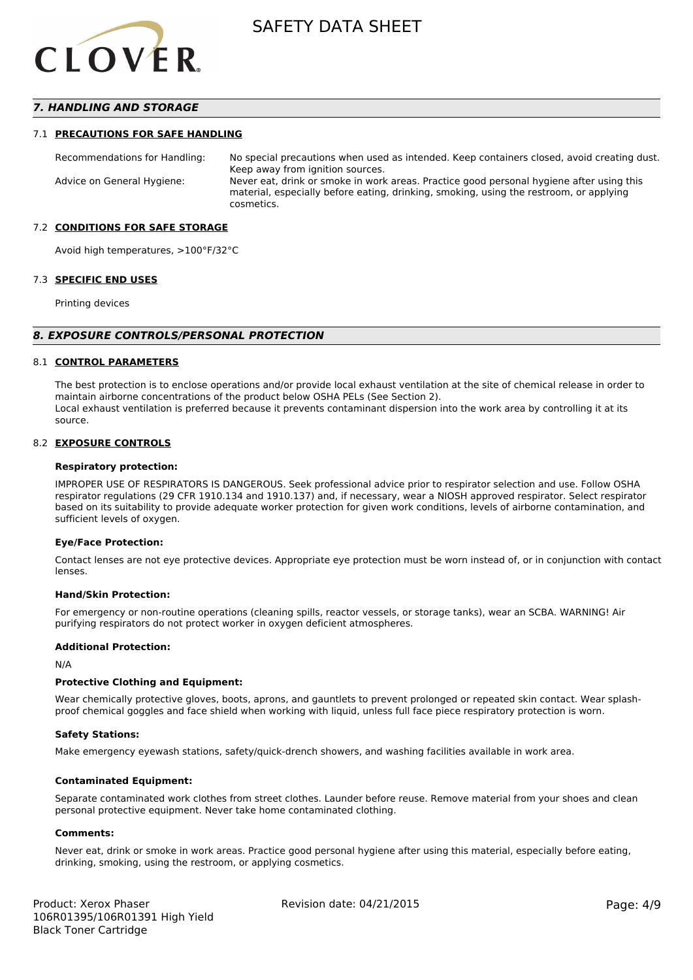

# *7. HANDLING AND STORAGE*

#### 7.1 **PRECAUTIONS FOR SAFE HANDLING**

Recommendations for Handling: No special precautions when used as intended. Keep containers closed, avoid creating dust. Keep away from ignition sources. Advice on General Hygiene: Never eat, drink or smoke in work areas. Practice good personal hygiene after using this material, especially before eating, drinking, smoking, using the restroom, or applying cosmetics.

#### 7.2 **CONDITIONS FOR SAFE STORAGE**

Avoid high temperatures, >100°F/32°C

#### 7.3 **SPECIFIC END USES**

Printing devices

#### *8. EXPOSURE CONTROLS/PERSONAL PROTECTION*

#### 8.1 **CONTROL PARAMETERS**

The best protection is to enclose operations and/or provide local exhaust ventilation at the site of chemical release in order to maintain airborne concentrations of the product below OSHA PELs (See Section 2). Local exhaust ventilation is preferred because it prevents contaminant dispersion into the work area by controlling it at its source.

#### 8.2 **EXPOSURE CONTROLS**

#### **Respiratory protection:**

IMPROPER USE OF RESPIRATORS IS DANGEROUS. Seek professional advice prior to respirator selection and use. Follow OSHA respirator regulations (29 CFR 1910.134 and 1910.137) and, if necessary, wear a NIOSH approved respirator. Select respirator based on its suitability to provide adequate worker protection for given work conditions, levels of airborne contamination, and sufficient levels of oxygen.

#### **Eye/Face Protection:**

Contact lenses are not eye protective devices. Appropriate eye protection must be worn instead of, or in conjunction with contact lenses.

#### **Hand/Skin Protection:**

For emergency or non-routine operations (cleaning spills, reactor vessels, or storage tanks), wear an SCBA. WARNING! Air purifying respirators do not protect worker in oxygen deficient atmospheres.

### **Additional Protection:**

N/A

#### **Protective Clothing and Equipment:**

Wear chemically protective gloves, boots, aprons, and gauntlets to prevent prolonged or repeated skin contact. Wear splashproof chemical goggles and face shield when working with liquid, unless full face piece respiratory protection is worn.

#### **Safety Stations:**

Make emergency eyewash stations, safety/quick-drench showers, and washing facilities available in work area.

#### **Contaminated Equipment:**

Separate contaminated work clothes from street clothes. Launder before reuse. Remove material from your shoes and clean personal protective equipment. Never take home contaminated clothing.

#### **Comments:**

Never eat, drink or smoke in work areas. Practice good personal hygiene after using this material, especially before eating, drinking, smoking, using the restroom, or applying cosmetics.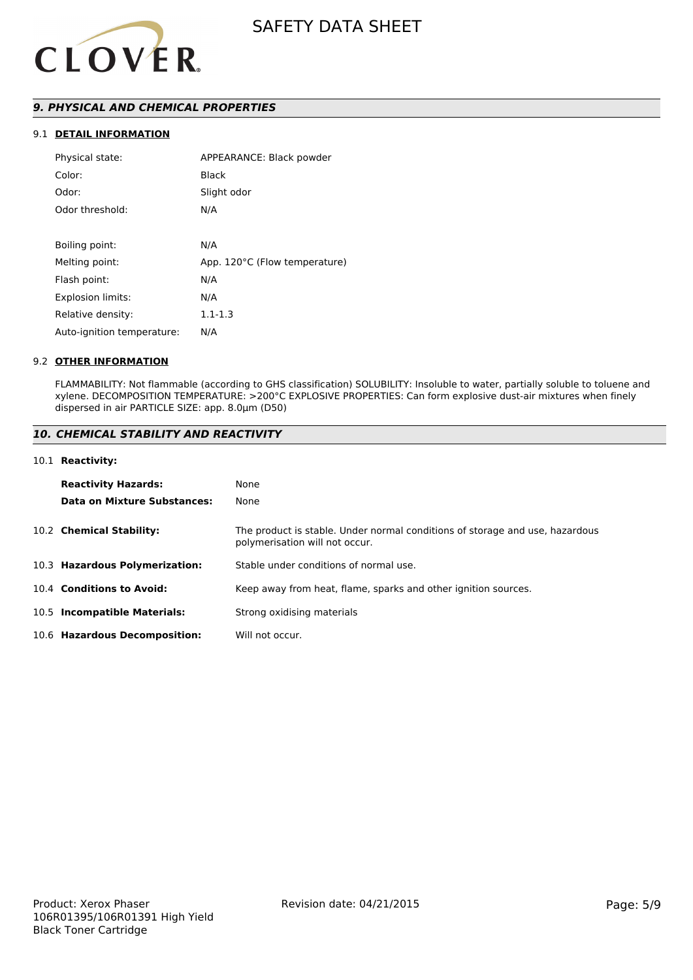

# *9. PHYSICAL AND CHEMICAL PROPERTIES*

# 9.1 **DETAIL INFORMATION**

| Physical state:            | APPEARANCE: Black powder      |
|----------------------------|-------------------------------|
| Color:                     | <b>Black</b>                  |
| Odor:                      | Slight odor                   |
| Odor threshold:            | N/A                           |
|                            |                               |
| Boiling point:             | N/A                           |
| Melting point:             | App. 120°C (Flow temperature) |
| Flash point:               | N/A                           |
| <b>Explosion limits:</b>   | N/A                           |
| Relative density:          | $1.1 - 1.3$                   |
| Auto-ignition temperature: | N/A                           |

### 9.2 **OTHER INFORMATION**

FLAMMABILITY: Not flammable (according to GHS classification) SOLUBILITY: Insoluble to water, partially soluble to toluene and xylene. DECOMPOSITION TEMPERATURE: >200°C EXPLOSIVE PROPERTIES: Can form explosive dust-air mixtures when finely dispersed in air PARTICLE SIZE: app. 8.0µm (D50)

# *10. CHEMICAL STABILITY AND REACTIVITY*

#### 10.1 **Reactivity:**

| <b>Reactivity Hazards:</b>     | None                                                                                                           |
|--------------------------------|----------------------------------------------------------------------------------------------------------------|
| Data on Mixture Substances:    | None                                                                                                           |
| 10.2 Chemical Stability:       | The product is stable. Under normal conditions of storage and use, hazardous<br>polymerisation will not occur. |
| 10.3 Hazardous Polymerization: | Stable under conditions of normal use.                                                                         |
| 10.4 Conditions to Avoid:      | Keep away from heat, flame, sparks and other ignition sources.                                                 |
| 10.5 Incompatible Materials:   | Strong oxidising materials                                                                                     |
| 10.6 Hazardous Decomposition:  | Will not occur.                                                                                                |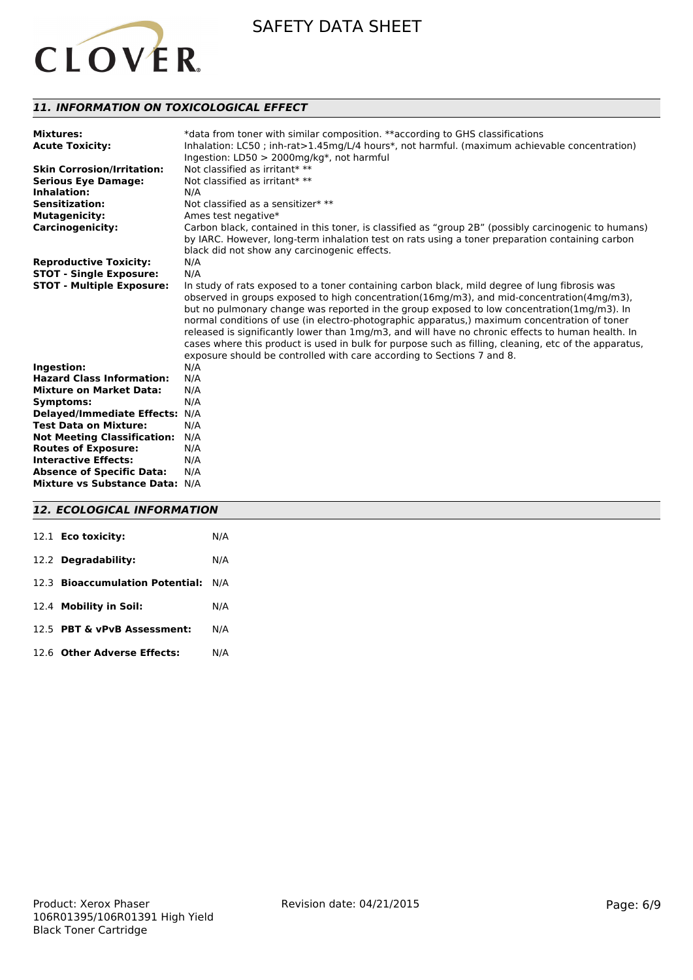

# *11. INFORMATION ON TOXICOLOGICAL EFFECT*

| <b>Mixtures:</b><br><b>Acute Toxicity:</b> | *data from toner with similar composition. **according to GHS classifications<br>Inhalation: LC50; inh-rat>1.45mg/L/4 hours*, not harmful. (maximum achievable concentration) |
|--------------------------------------------|-------------------------------------------------------------------------------------------------------------------------------------------------------------------------------|
|                                            | Ingestion: LD50 > 2000mg/kg*, not harmful                                                                                                                                     |
| <b>Skin Corrosion/Irritation:</b>          | Not classified as irritant* **                                                                                                                                                |
| <b>Serious Eye Damage:</b>                 | Not classified as irritant* **                                                                                                                                                |
| Inhalation:                                | N/A                                                                                                                                                                           |
| <b>Sensitization:</b>                      | Not classified as a sensitizer* **                                                                                                                                            |
| <b>Mutagenicity:</b>                       | Ames test negative*                                                                                                                                                           |
| <b>Carcinogenicity:</b>                    | Carbon black, contained in this toner, is classified as "group 2B" (possibly carcinogenic to humans)                                                                          |
|                                            | by IARC. However, long-term inhalation test on rats using a toner preparation containing carbon                                                                               |
|                                            | black did not show any carcinogenic effects.                                                                                                                                  |
| <b>Reproductive Toxicity:</b>              | N/A                                                                                                                                                                           |
| <b>STOT - Single Exposure:</b>             | N/A                                                                                                                                                                           |
| <b>STOT - Multiple Exposure:</b>           | In study of rats exposed to a toner containing carbon black, mild degree of lung fibrosis was                                                                                 |
|                                            | observed in groups exposed to high concentration( $16mg/m3$ ), and mid-concentration( $4mg/m3$ ),                                                                             |
|                                            | but no pulmonary change was reported in the group exposed to low concentration(1mg/m3). In                                                                                    |
|                                            | normal conditions of use (in electro-photographic apparatus,) maximum concentration of toner                                                                                  |
|                                            | released is significantly lower than 1mg/m3, and will have no chronic effects to human health. In                                                                             |
|                                            | cases where this product is used in bulk for purpose such as filling, cleaning, etc of the apparatus,                                                                         |
|                                            | exposure should be controlled with care according to Sections 7 and 8.                                                                                                        |
| Ingestion:                                 | N/A                                                                                                                                                                           |
| <b>Hazard Class Information:</b>           | N/A                                                                                                                                                                           |
| <b>Mixture on Market Data:</b>             | N/A                                                                                                                                                                           |
| <b>Symptoms:</b>                           | N/A                                                                                                                                                                           |
| <b>Delayed/Immediate Effects:</b>          | N/A                                                                                                                                                                           |
| <b>Test Data on Mixture:</b>               | N/A                                                                                                                                                                           |
| <b>Not Meeting Classification:</b>         | N/A                                                                                                                                                                           |
| <b>Routes of Exposure:</b>                 | N/A                                                                                                                                                                           |
| <b>Interactive Effects:</b>                | N/A                                                                                                                                                                           |
| <b>Absence of Specific Data:</b>           | N/A                                                                                                                                                                           |
| Mixture vs Substance Data: N/A             |                                                                                                                                                                               |
|                                            |                                                                                                                                                                               |

# *12. ECOLOGICAL INFORMATION*

| 12.1 <b>Eco toxicity:</b>           | N/A |
|-------------------------------------|-----|
| 12.2 Degradability:                 | N/A |
| 12.3 Bioaccumulation Potential: N/A |     |
| 12.4 Mobility in Soil:              | N/A |
| 12.5 PBT & vPvB Assessment:         | N/A |
| 12.6 Other Adverse Effects:         | N/A |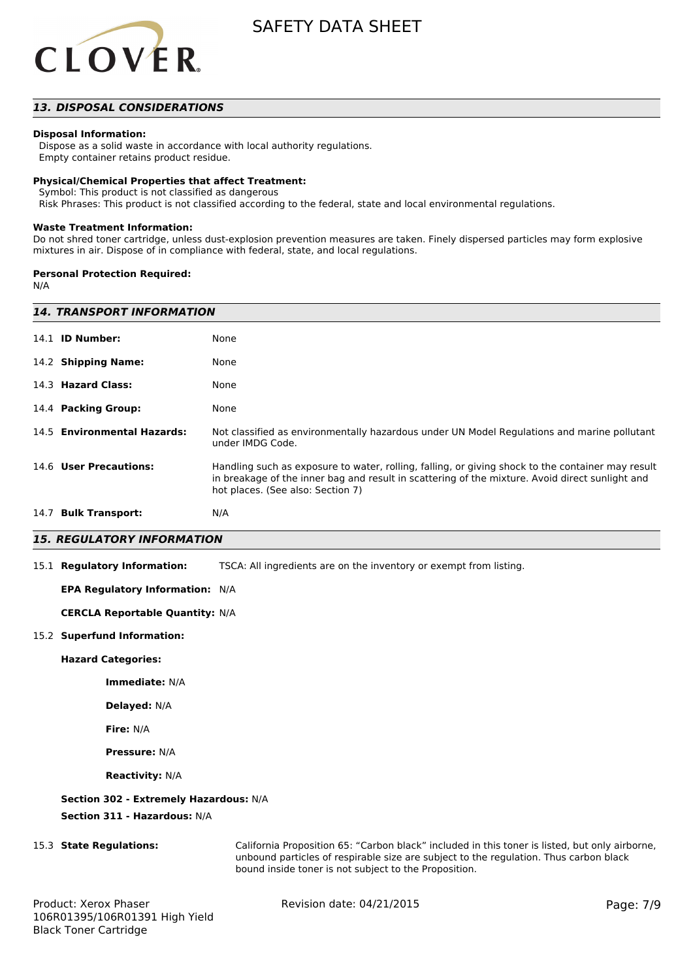

# *13. DISPOSAL CONSIDERATIONS*

#### **Disposal Information:**

 Dispose as a solid waste in accordance with local authority regulations. Empty container retains product residue.

#### **Physical/Chemical Properties that affect Treatment:**

Symbol: This product is not classified as dangerous

Risk Phrases: This product is not classified according to the federal, state and local environmental regulations.

#### **Waste Treatment Information:**

Do not shred toner cartridge, unless dust-explosion prevention measures are taken. Finely dispersed particles may form explosive mixtures in air. Dispose of in compliance with federal, state, and local regulations.

#### **Personal Protection Required:**

N/A

| <b>14. TRANSPORT INFORMATION</b> |                                                                                                                                                                                                                                           |  |  |
|----------------------------------|-------------------------------------------------------------------------------------------------------------------------------------------------------------------------------------------------------------------------------------------|--|--|
| 14.1 <b>ID Number:</b>           | None                                                                                                                                                                                                                                      |  |  |
| 14.2 Shipping Name:              | None                                                                                                                                                                                                                                      |  |  |
| 14.3 Hazard Class:               | None                                                                                                                                                                                                                                      |  |  |
| 14.4 Packing Group:              | None                                                                                                                                                                                                                                      |  |  |
| 14.5 Environmental Hazards:      | Not classified as environmentally hazardous under UN Model Regulations and marine pollutant<br>under IMDG Code.                                                                                                                           |  |  |
| 14.6 User Precautions:           | Handling such as exposure to water, rolling, falling, or giving shock to the container may result<br>in breakage of the inner bag and result in scattering of the mixture. Avoid direct sunlight and<br>hot places. (See also: Section 7) |  |  |
| 14.7 Bulk Transport:             | N/A                                                                                                                                                                                                                                       |  |  |

# *15. REGULATORY INFORMATION*

15.1 **Regulatory Information:** TSCA: All ingredients are on the inventory or exempt from listing.

#### **EPA Regulatory Information:** N/A

**CERCLA Reportable Quantity:** N/A

#### 15.2 **Superfund Information:**

**Hazard Categories:**

**Immediate:** N/A

**Delayed:** N/A

**Fire:** N/A

**Pressure:** N/A

**Reactivity:** N/A

#### **Section 302 - Extremely Hazardous:** N/A

**Section 311 - Hazardous:** N/A

15.3 **State Regulations:** California Proposition 65: "Carbon black" included in this toner is listed, but only airborne, unbound particles of respirable size are subject to the regulation. Thus carbon black bound inside toner is not subject to the Proposition.

Revision date: 04/21/2015 Page: 7/9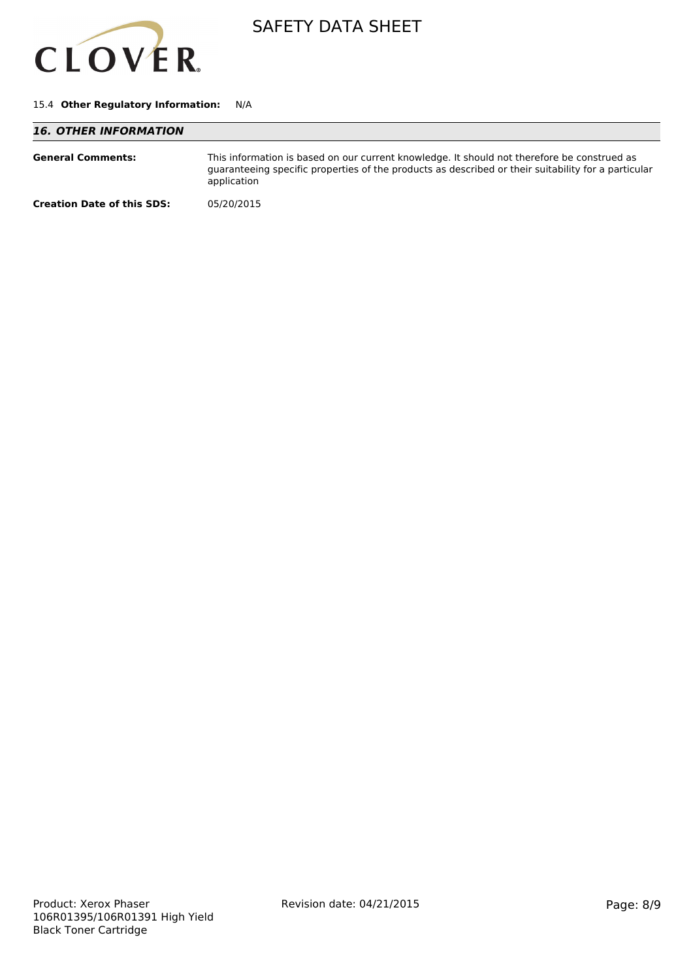

### 15.4 **Other Regulatory Information:** N/A

| <b>16. OTHER INFORMATION</b>      |                                                                                                                                                                                                                   |
|-----------------------------------|-------------------------------------------------------------------------------------------------------------------------------------------------------------------------------------------------------------------|
| <b>General Comments:</b>          | This information is based on our current knowledge. It should not therefore be construed as<br>guaranteeing specific properties of the products as described or their suitability for a particular<br>application |
| <b>Creation Date of this SDS:</b> | 05/20/2015                                                                                                                                                                                                        |